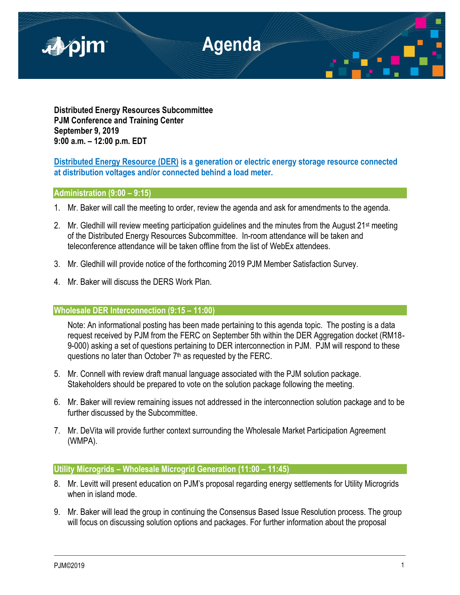

**Distributed Energy Resources Subcommittee PJM Conference and Training Center September 9, 2019 9:00 a.m. – 12:00 p.m. EDT**

# **Distributed Energy Resource (DER) is a generation or electric energy storage resource connected at distribution voltages and/or connected behind a load meter.**

## **Administration (9:00 – 9:15)**

- 1. Mr. Baker will call the meeting to order, review the agenda and ask for amendments to the agenda.
- 2. Mr. Gledhill will review meeting participation guidelines and the minutes from the August  $21^{st}$  meeting of the Distributed Energy Resources Subcommittee. In-room attendance will be taken and teleconference attendance will be taken offline from the list of WebEx attendees.
- 3. Mr. Gledhill will provide notice of the forthcoming 2019 PJM Member Satisfaction Survey.
- 4. Mr. Baker will discuss the DERS Work Plan.

### **Wholesale DER Interconnection (9:15 – 11:00)**

Note: An informational posting has been made pertaining to this agenda topic. The posting is a data request received by PJM from the FERC on September 5th within the DER Aggregation docket (RM18- 9-000) asking a set of questions pertaining to DER interconnection in PJM. PJM will respond to these questions no later than October  $7<sup>th</sup>$  as requested by the FERC.

- 5. Mr. Connell with review draft manual language associated with the PJM solution package. Stakeholders should be prepared to vote on the solution package following the meeting.
- 6. Mr. Baker will review remaining issues not addressed in the interconnection solution package and to be further discussed by the Subcommittee.
- 7. Mr. DeVita will provide further context surrounding the Wholesale Market Participation Agreement (WMPA).

### **Utility Microgrids – Wholesale Microgrid Generation (11:00 – 11:45)**

- 8. Mr. Levitt will present education on PJM's proposal regarding energy settlements for Utility Microgrids when in island mode.
- 9. Mr. Baker will lead the group in continuing the Consensus Based Issue Resolution process. The group will focus on discussing solution options and packages. For further information about the proposal